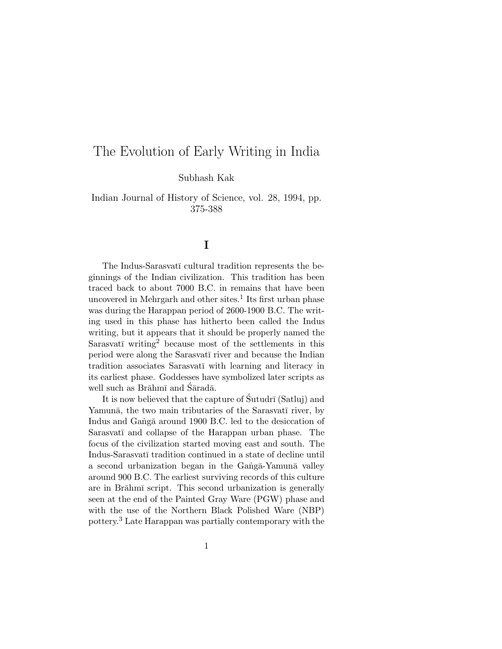# The Evolution of Early Writing in India

Subhash Kak

Indian Journal of History of Science, vol. 28, 1994, pp. 375-388

# **I**

The Indus-Sarasvatī cultural tradition represents the beginnings of the Indian civilization. This tradition has been traced back to about 7000 B.C. in remains that have been uncovered in Mehrgarh and other sites.<sup>1</sup> Its first urban phase was during the Harappan period of 2600-1900 B.C. The writing used in this phase has hitherto been called the Indus writing, but it appears that it should be properly named the Sarasvatī writing<sup>2</sup> because most of the settlements in this period were along the Sarasvatī river and because the Indian tradition associates Sarasvatī with learning and literacy in its earliest phase. Goddesses have symbolized later scripts as well such as Brāhmī and Śāradā.

It is now believed that the capture of  $\text{Sutudrī}$  (Satluj) and Yamunā, the two main tributaries of the Sarasvatī river, by Indus and Ganga around 1900 B.C. led to the desiccation of Sarasvatī and collapse of the Harappan urban phase. The focus of the civilization started moving east and south. The Indus-Sarasvatī tradition continued in a state of decline until a second urbanization began in the Ganga-Yamuna valley around 900 B.C. The earliest surviving records of this culture are in Brāhmī script. This second urbanization is generally seen at the end of the Painted Gray Ware (PGW) phase and with the use of the Northern Black Polished Ware (NBP) pottery.<sup>3</sup> Late Harappan was partially contemporary with the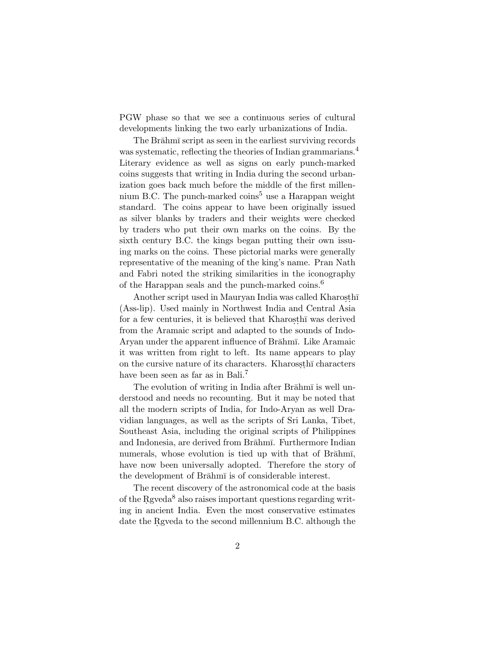PGW phase so that we see a continuous series of cultural developments linking the two early urbanizations of India.

The Brāhmī script as seen in the earliest surviving records was systematic, reflecting the theories of Indian grammarians.<sup>4</sup> Literary evidence as well as signs on early punch-marked coins suggests that writing in India during the second urbanization goes back much before the middle of the first millennium B.C. The punch-marked  $\overline{\text{coins}}^5$  use a Harappan weight standard. The coins appear to have been originally issued as silver blanks by traders and their weights were checked by traders who put their own marks on the coins. By the sixth century B.C. the kings began putting their own issuing marks on the coins. These pictorial marks were generally representative of the meaning of the king's name. Pran Nath and Fabri noted the striking similarities in the iconography of the Harappan seals and the punch-marked coins.<sup>6</sup>

Another script used in Mauryan India was called Kharosthī (Ass-lip). Used mainly in Northwest India and Central Asia for a few centuries, it is believed that Kharosthī was derived from the Aramaic script and adapted to the sounds of Indo-Aryan under the apparent influence of Brahmi. Like Aramaic it was written from right to left. Its name appears to play on the cursive nature of its characters. Kharossthī characters have been seen as far as in Bali.<sup>7</sup>

The evolution of writing in India after Brahm is well understood and needs no recounting. But it may be noted that all the modern scripts of India, for Indo-Aryan as well Dravidian languages, as well as the scripts of Sri Lanka, Tibet, Southeast Asia, including the original scripts of Philippines and Indonesia, are derived from Brahm<del>i</del>. Furthermore Indian numerals, whose evolution is tied up with that of Brahmi, have now been universally adopted. Therefore the story of the development of Brahm $\bar{I}$  is of considerable interest.

The recent discovery of the astronomical code at the basis of the Rgveda<sup>8</sup> also raises important questions regarding writing in ancient India. Even the most conservative estimates date the Regueda to the second millennium B.C. although the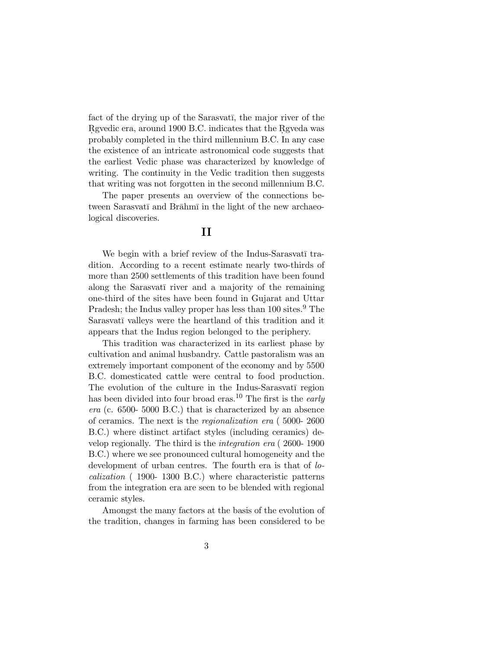fact of the drying up of the Sarasvati, the major river of the Revedic era, around 1900 B.C. indicates that the Reveda was probably completed in the third millennium B.C. In any case the existence of an intricate astronomical code suggests that the earliest Vedic phase was characterized by knowledge of writing. The continuity in the Vedic tradition then suggests that writing was not forgotten in the second millennium B.C.

The paper presents an overview of the connections between Sarasvatī and Brāhmī in the light of the new archaeological discoveries.

# **II**

We begin with a brief review of the Indus-Sarasvatī tradition. According to a recent estimate nearly two-thirds of more than 2500 settlements of this tradition have been found along the Sarasvati river and a majority of the remaining one-third of the sites have been found in Gujarat and Uttar Pradesh; the Indus valley proper has less than 100 sites.<sup>9</sup> The Sarasvatī valleys were the heartland of this tradition and it appears that the Indus region belonged to the periphery.

This tradition was characterized in its earliest phase by cultivation and animal husbandry. Cattle pastoralism was an extremely important component of the economy and by 5500 B.C. domesticated cattle were central to food production. The evolution of the culture in the Indus-Sarasvatī region has been divided into four broad eras.<sup>10</sup> The first is the *early* era (c. 6500- 5000 B.C.) that is characterized by an absence of ceramics. The next is the regionalization era ( 5000- 2600 B.C.) where distinct artifact styles (including ceramics) develop regionally. The third is the integration era ( 2600- 1900 B.C.) where we see pronounced cultural homogeneity and the development of urban centres. The fourth era is that of localization ( 1900- 1300 B.C.) where characteristic patterns from the integration era are seen to be blended with regional ceramic styles.

Amongst the many factors at the basis of the evolution of the tradition, changes in farming has been considered to be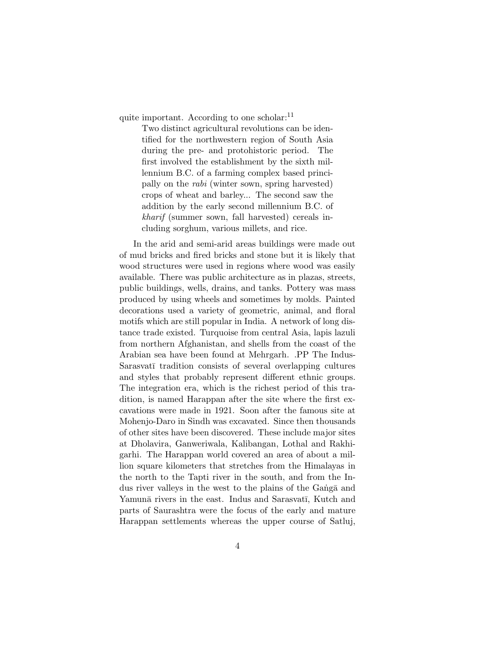quite important. According to one scholar: $^{11}$ 

Two distinct agricultural revolutions can be identified for the northwestern region of South Asia during the pre- and protohistoric period. The first involved the establishment by the sixth millennium B.C. of a farming complex based principally on the rabi (winter sown, spring harvested) crops of wheat and barley... The second saw the addition by the early second millennium B.C. of kharif (summer sown, fall harvested) cereals including sorghum, various millets, and rice.

In the arid and semi-arid areas buildings were made out of mud bricks and fired bricks and stone but it is likely that wood structures were used in regions where wood was easily available. There was public architecture as in plazas, streets, public buildings, wells, drains, and tanks. Pottery was mass produced by using wheels and sometimes by molds. Painted decorations used a variety of geometric, animal, and floral motifs which are still popular in India. A network of long distance trade existed. Turquoise from central Asia, lapis lazuli from northern Afghanistan, and shells from the coast of the Arabian sea have been found at Mehrgarh. .PP The Indus-Sarasvatī tradition consists of several overlapping cultures and styles that probably represent different ethnic groups. The integration era, which is the richest period of this tradition, is named Harappan after the site where the first excavations were made in 1921. Soon after the famous site at Mohenjo-Daro in Sindh was excavated. Since then thousands of other sites have been discovered. These include major sites at Dholavira, Ganweriwala, Kalibangan, Lothal and Rakhigarhi. The Harappan world covered an area of about a million square kilometers that stretches from the Himalayas in the north to the Tapti river in the south, and from the Indus river valleys in the west to the plains of the Ganga and Yamunā rivers in the east. Indus and Sarasvatī, Kutch and parts of Saurashtra were the focus of the early and mature Harappan settlements whereas the upper course of Satluj,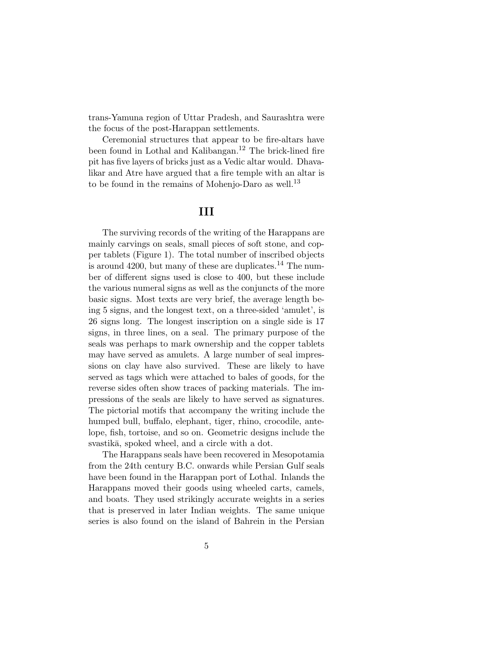trans-Yamuna region of Uttar Pradesh, and Saurashtra were the focus of the post-Harappan settlements.

Ceremonial structures that appear to be fire-altars have been found in Lothal and Kalibangan.<sup>12</sup> The brick-lined fire pit has five layers of bricks just as a Vedic altar would. Dhavalikar and Atre have argued that a fire temple with an altar is to be found in the remains of Mohenjo-Daro as well.<sup>13</sup>

### **III**

The surviving records of the writing of the Harappans are mainly carvings on seals, small pieces of soft stone, and copper tablets (Figure 1). The total number of inscribed objects is around 4200, but many of these are duplicates.<sup>14</sup> The number of different signs used is close to 400, but these include the various numeral signs as well as the conjuncts of the more basic signs. Most texts are very brief, the average length being 5 signs, and the longest text, on a three-sided 'amulet', is 26 signs long. The longest inscription on a single side is 17 signs, in three lines, on a seal. The primary purpose of the seals was perhaps to mark ownership and the copper tablets may have served as amulets. A large number of seal impressions on clay have also survived. These are likely to have served as tags which were attached to bales of goods, for the reverse sides often show traces of packing materials. The impressions of the seals are likely to have served as signatures. The pictorial motifs that accompany the writing include the humped bull, buffalo, elephant, tiger, rhino, crocodile, antelope, fish, tortoise, and so on. Geometric designs include the svastika, spoked wheel, and a circle with a dot.

The Harappans seals have been recovered in Mesopotamia from the 24th century B.C. onwards while Persian Gulf seals have been found in the Harappan port of Lothal. Inlands the Harappans moved their goods using wheeled carts, camels, and boats. They used strikingly accurate weights in a series that is preserved in later Indian weights. The same unique series is also found on the island of Bahrein in the Persian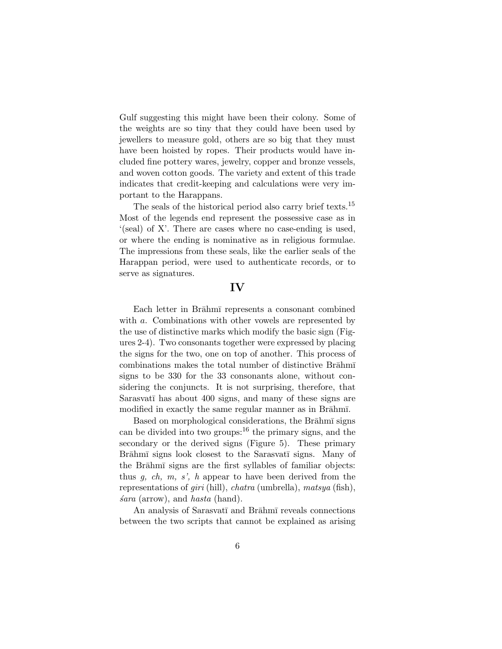Gulf suggesting this might have been their colony. Some of the weights are so tiny that they could have been used by jewellers to measure gold, others are so big that they must have been hoisted by ropes. Their products would have included fine pottery wares, jewelry, copper and bronze vessels, and woven cotton goods. The variety and extent of this trade indicates that credit-keeping and calculations were very important to the Harappans.

The seals of the historical period also carry brief texts.<sup>15</sup> Most of the legends end represent the possessive case as in '(seal) of X'. There are cases where no case-ending is used, or where the ending is nominative as in religious formulae. The impressions from these seals, like the earlier seals of the Harappan period, were used to authenticate records, or to serve as signatures.

# **IV**

Each letter in Brahm<del><sup>n</sup></del> represents a consonant combined with a. Combinations with other vowels are represented by the use of distinctive marks which modify the basic sign (Figures 2-4). Two consonants together were expressed by placing the signs for the two, one on top of another. This process of combinations makes the total number of distinctive Brahm signs to be 330 for the 33 consonants alone, without considering the conjuncts. It is not surprising, therefore, that Sarasvatī has about 400 signs, and many of these signs are modified in exactly the same regular manner as in Brahmi.

Based on morphological considerations, the Brahmi signs can be divided into two groups: $16$  the primary signs, and the secondary or the derived signs (Figure 5). These primary Brāhmī signs look closest to the Sarasvatī signs. Many of the Brāhmī signs are the first syllables of familiar objects: thus  $g, ch, m, s', h$  appear to have been derived from the representations of giri (hill), chatra (umbrella), matsya (fish),  $\delta$ ara (arrow), and *hasta* (hand).

An analysis of Sarasvatī and Brāhmī reveals connections between the two scripts that cannot be explained as arising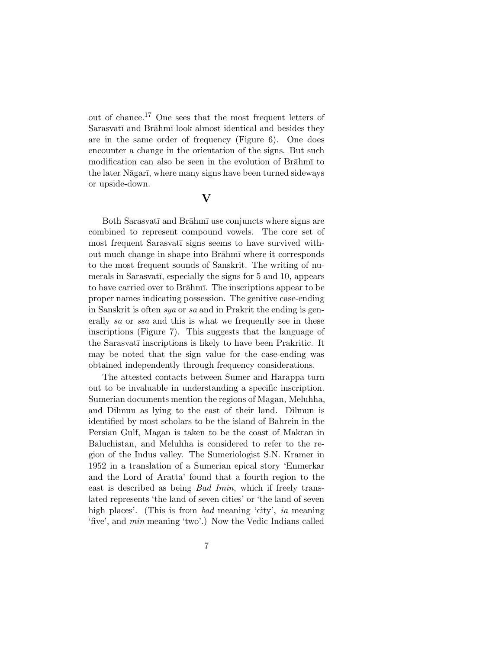out of chance.<sup>17</sup> One sees that the most frequent letters of Sarasvatī and Brāhmī look almost identical and besides they are in the same order of frequency (Figure 6). One does encounter a change in the orientation of the signs. But such modification can also be seen in the evolution of Brahm the later Nāgarī, where many signs have been turned sideways or upside-down.

#### **V**

Both Sarasvatī and Brāhmī use conjuncts where signs are combined to represent compound vowels. The core set of most frequent Sarasvatī signs seems to have survived without much change in shape into Brahm<del>t</del> where it corresponds to the most frequent sounds of Sanskrit. The writing of numerals in Sarasvatī, especially the signs for 5 and 10, appears to have carried over to Brahm<del><sub>I</sub></del>. The inscriptions appear to be proper names indicating possession. The genitive case-ending in Sanskrit is often sya or sa and in Prakrit the ending is generally sa or ssa and this is what we frequently see in these inscriptions (Figure 7). This suggests that the language of the Sarasvati inscriptions is likely to have been Prakritic. It may be noted that the sign value for the case-ending was obtained independently through frequency considerations.

The attested contacts between Sumer and Harappa turn out to be invaluable in understanding a specific inscription. Sumerian documents mention the regions of Magan, Meluhha, and Dilmun as lying to the east of their land. Dilmun is identified by most scholars to be the island of Bahrein in the Persian Gulf, Magan is taken to be the coast of Makran in Baluchistan, and Meluhha is considered to refer to the region of the Indus valley. The Sumeriologist S.N. Kramer in 1952 in a translation of a Sumerian epical story 'Enmerkar and the Lord of Aratta' found that a fourth region to the east is described as being Bad Imin, which if freely translated represents 'the land of seven cities' or 'the land of seven high places'. (This is from *bad* meaning 'city', *ia* meaning 'five', and min meaning 'two'.) Now the Vedic Indians called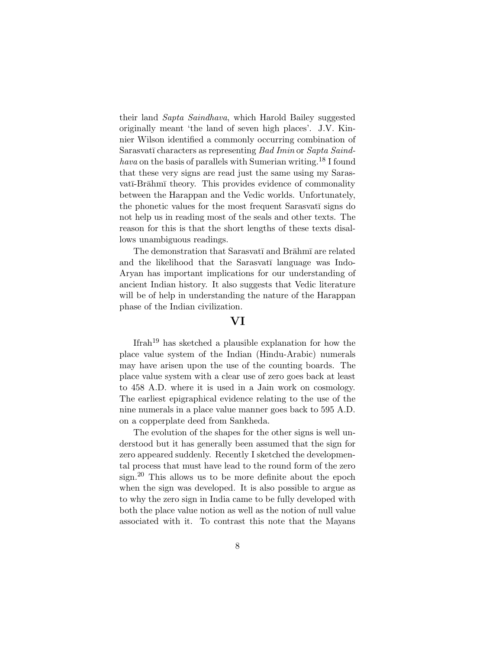their land Sapta Saindhava, which Harold Bailey suggested originally meant 'the land of seven high places'. J.V. Kinnier Wilson identified a commonly occurring combination of Sarasvatī characters as representing Bad Imin or Sapta Saindhava on the basis of parallels with Sumerian writing.<sup>18</sup> I found that these very signs are read just the same using my Sarasvatī-Brāhmī theory. This provides evidence of commonality between the Harappan and the Vedic worlds. Unfortunately, the phonetic values for the most frequent Sarasvati signs do not help us in reading most of the seals and other texts. The reason for this is that the short lengths of these texts disallows unambiguous readings.

The demonstration that Sarasvatī and Brāhmī are related and the likelihood that the Sarasvatī language was Indo-Aryan has important implications for our understanding of ancient Indian history. It also suggests that Vedic literature will be of help in understanding the nature of the Harappan phase of the Indian civilization.

# **VI**

Ifrah<sup>19</sup> has sketched a plausible explanation for how the place value system of the Indian (Hindu-Arabic) numerals may have arisen upon the use of the counting boards. The place value system with a clear use of zero goes back at least to 458 A.D. where it is used in a Jain work on cosmology. The earliest epigraphical evidence relating to the use of the nine numerals in a place value manner goes back to 595 A.D. on a copperplate deed from Sankheda.

The evolution of the shapes for the other signs is well understood but it has generally been assumed that the sign for zero appeared suddenly. Recently I sketched the developmental process that must have lead to the round form of the zero sign.<sup>20</sup> This allows us to be more definite about the epoch when the sign was developed. It is also possible to argue as to why the zero sign in India came to be fully developed with both the place value notion as well as the notion of null value associated with it. To contrast this note that the Mayans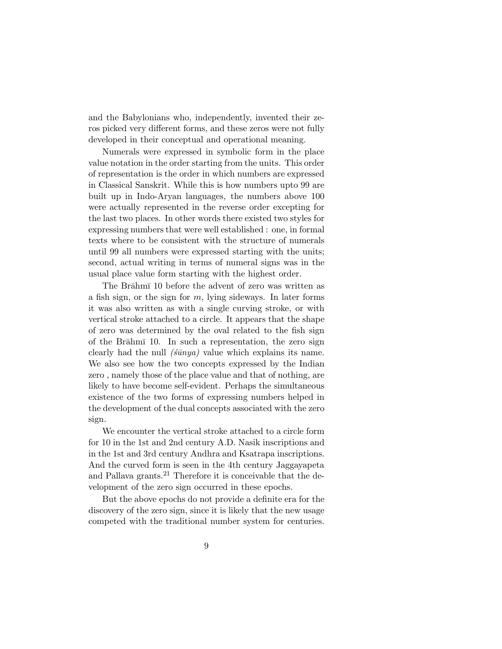and the Babylonians who, independently, invented their zeros picked very different forms, and these zeros were not fully developed in their conceptual and operational meaning.

Numerals were expressed in symbolic form in the place value notation in the order starting from the units. This order of representation is the order in which numbers are expressed in Classical Sanskrit. While this is how numbers upto 99 are built up in Indo-Aryan languages, the numbers above 100 were actually represented in the reverse order excepting for the last two places. In other words there existed two styles for expressing numbers that were well established : one, in formal texts where to be consistent with the structure of numerals until 99 all numbers were expressed starting with the units; second, actual writing in terms of numeral signs was in the usual place value form starting with the highest order.

The Brahmi 10 before the advent of zero was written as a fish sign, or the sign for  $m$ , lying sideways. In later forms it was also written as with a single curving stroke, or with vertical stroke attached to a circle. It appears that the shape of zero was determined by the oval related to the fish sign of the Brahmi 10. In such a representation, the zero sign clearly had the null  $(\hat{\mathfrak{s}}\bar{\mathfrak{u}}\eta\bar{\mathfrak{u}}\eta)$  value which explains its name. We also see how the two concepts expressed by the Indian zero , namely those of the place value and that of nothing, are likely to have become self-evident. Perhaps the simultaneous existence of the two forms of expressing numbers helped in the development of the dual concepts associated with the zero sign.

We encounter the vertical stroke attached to a circle form for 10 in the 1st and 2nd century A.D. Nasik inscriptions and in the 1st and 3rd century Andhra and Ksatrapa inscriptions. And the curved form is seen in the 4th century Jaggayapeta and Pallava grants.<sup>21</sup> Therefore it is conceivable that the development of the zero sign occurred in these epochs.

But the above epochs do not provide a definite era for the discovery of the zero sign, since it is likely that the new usage competed with the traditional number system for centuries.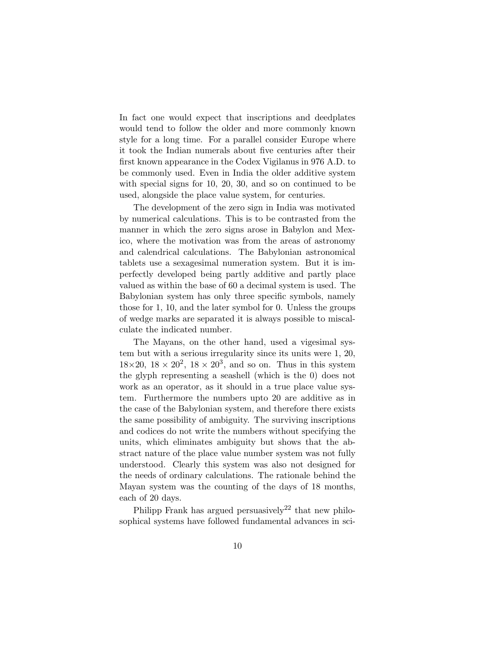In fact one would expect that inscriptions and deedplates would tend to follow the older and more commonly known style for a long time. For a parallel consider Europe where it took the Indian numerals about five centuries after their first known appearance in the Codex Vigilanus in 976 A.D. to be commonly used. Even in India the older additive system with special signs for 10, 20, 30, and so on continued to be used, alongside the place value system, for centuries.

The development of the zero sign in India was motivated by numerical calculations. This is to be contrasted from the manner in which the zero signs arose in Babylon and Mexico, where the motivation was from the areas of astronomy and calendrical calculations. The Babylonian astronomical tablets use a sexagesimal numeration system. But it is imperfectly developed being partly additive and partly place valued as within the base of 60 a decimal system is used. The Babylonian system has only three specific symbols, namely those for 1, 10, and the later symbol for 0. Unless the groups of wedge marks are separated it is always possible to miscalculate the indicated number.

The Mayans, on the other hand, used a vigesimal system but with a serious irregularity since its units were 1, 20,  $18\times20$ ,  $18\times20^2$ ,  $18\times20^3$ , and so on. Thus in this system the glyph representing a seashell (which is the 0) does not work as an operator, as it should in a true place value system. Furthermore the numbers upto 20 are additive as in the case of the Babylonian system, and therefore there exists the same possibility of ambiguity. The surviving inscriptions and codices do not write the numbers without specifying the units, which eliminates ambiguity but shows that the abstract nature of the place value number system was not fully understood. Clearly this system was also not designed for the needs of ordinary calculations. The rationale behind the Mayan system was the counting of the days of 18 months, each of 20 days.

Philipp Frank has argued persuasively<sup>22</sup> that new philosophical systems have followed fundamental advances in sci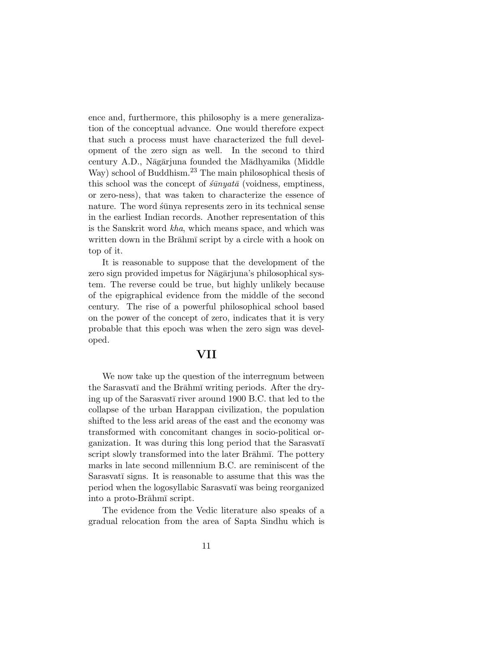ence and, furthermore, this philosophy is a mere generalization of the conceptual advance. One would therefore expect that such a process must have characterized the full development of the zero sign as well. In the second to third century A.D., Nāgārjuna founded the Mādhyamika (Middle Way) school of Buddhism.<sup>23</sup> The main philosophical thesis of this school was the concept of  $\sin y \, a\bar{a}$  (voidness, emptiness, or zero-ness), that was taken to characterize the essence of nature. The word stangular represents zero in its technical sense in the earliest Indian records. Another representation of this is the Sanskrit word kha, which means space, and which was written down in the Brahm script by a circle with a hook on top of it.

It is reasonable to suppose that the development of the zero sign provided impetus for Nāgārjuna's philosophical system. The reverse could be true, but highly unlikely because of the epigraphical evidence from the middle of the second century. The rise of a powerful philosophical school based on the power of the concept of zero, indicates that it is very probable that this epoch was when the zero sign was developed.

### **VII**

We now take up the question of the interregnum between the Sarasvatī and the Brāhmī writing periods. After the drying up of the Sarasvatī river around 1900 B.C. that led to the collapse of the urban Harappan civilization, the population shifted to the less arid areas of the east and the economy was transformed with concomitant changes in socio-political organization. It was during this long period that the Sarasvati script slowly transformed into the later Brahm $\overline{\text{I}}$ . The pottery marks in late second millennium B.C. are reminiscent of the Sarasvatī signs. It is reasonable to assume that this was the period when the logosyllabic Sarasvatī was being reorganized into a proto-Brāhmī script.

The evidence from the Vedic literature also speaks of a gradual relocation from the area of Sapta Sindhu which is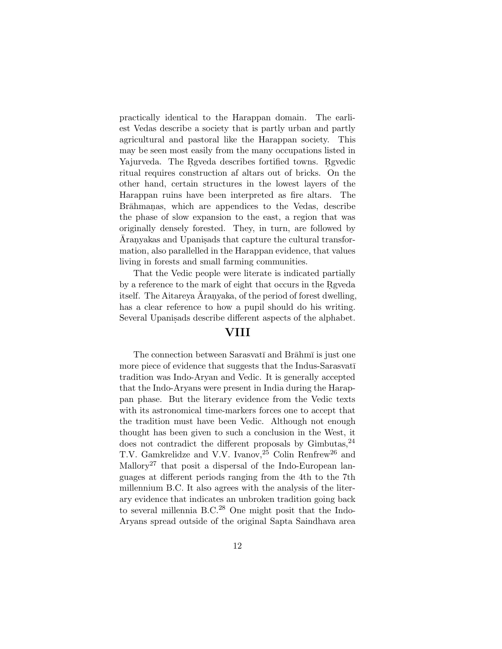practically identical to the Harappan domain. The earliest Vedas describe a society that is partly urban and partly agricultural and pastoral like the Harappan society. This may be seen most easily from the many occupations listed in Yajurveda. The Rgveda describes fortified towns. Rgvedic ritual requires construction af altars out of bricks. On the other hand, certain structures in the lowest layers of the Harappan ruins have been interpreted as fire altars. The Brāhmanas, which are appendices to the Vedas, describe the phase of slow expansion to the east, a region that was originally densely forested. They, in turn, are followed by Aranyakas and Upanisads that capture the cultural transformation, also parallelled in the Harappan evidence, that values living in forests and small farming communities.

That the Vedic people were literate is indicated partially by a reference to the mark of eight that occurs in the Rgyeda itself. The Aitareya Aranyaka, of the period of forest dwelling, has a clear reference to how a pupil should do his writing. Several Upanis ads describe different aspects of the alphabet.

# **VIII**

The connection between Sarasvat<del>i</del> and Brāhmī is just one more piece of evidence that suggests that the Indus-Sarasvati tradition was Indo-Aryan and Vedic. It is generally accepted that the Indo-Aryans were present in India during the Harappan phase. But the literary evidence from the Vedic texts with its astronomical time-markers forces one to accept that the tradition must have been Vedic. Although not enough thought has been given to such a conclusion in the West, it does not contradict the different proposals by Gimbutas,  $24$ T.V. Gamkrelidze and V.V. Ivanov,<sup>25</sup> Colin Renfrew<sup>26</sup> and Mallory<sup>27</sup> that posit a dispersal of the Indo-European languages at different periods ranging from the 4th to the 7th millennium B.C. It also agrees with the analysis of the literary evidence that indicates an unbroken tradition going back to several millennia B.C.<sup>28</sup> One might posit that the Indo-Aryans spread outside of the original Sapta Saindhava area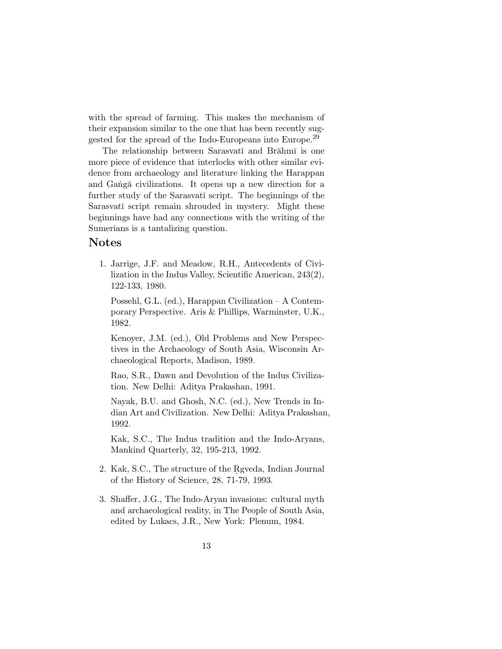with the spread of farming. This makes the mechanism of their expansion similar to the one that has been recently suggested for the spread of the Indo-Europeans into Europe.<sup>29</sup>

The relationship between Sarasvatī and Brāhmī is one more piece of evidence that interlocks with other similar evidence from archaeology and literature linking the Harappan and Ganga civilizations. It opens up a new direction for a further study of the Sarasvati script. The beginnings of the Sarasvatī script remain shrouded in mystery. Might these beginnings have had any connections with the writing of the Sumerians is a tantalizing question.

### **Notes**

1. Jarrige, J.F. and Meadow, R.H., Antecedents of Civilization in the Indus Valley, Scientific American, 243(2), 122-133, 1980.

Possehl, G.L. (ed.), Harappan Civilization – A Contemporary Perspective. Aris & Phillips, Warminster, U.K., 1982.

Kenoyer, J.M. (ed.), Old Problems and New Perspectives in the Archaeology of South Asia, Wisconsin Archaeological Reports, Madison, 1989.

Rao, S.R., Dawn and Devolution of the Indus Civilization. New Delhi: Aditya Prakashan, 1991.

Nayak, B.U. and Ghosh, N.C. (ed.), New Trends in Indian Art and Civilization. New Delhi: Aditya Prakashan, 1992.

Kak, S.C., The Indus tradition and the Indo-Aryans, Mankind Quarterly, 32, 195-213, 1992.

- 2. Kak, S.C., The structure of the Rgveda, Indian Journal of the History of Science, 28, 71-79, 1993.
- 3. Shaffer, J.G., The Indo-Aryan invasions: cultural myth and archaeological reality, in The People of South Asia, edited by Lukacs, J.R., New York: Plenum, 1984.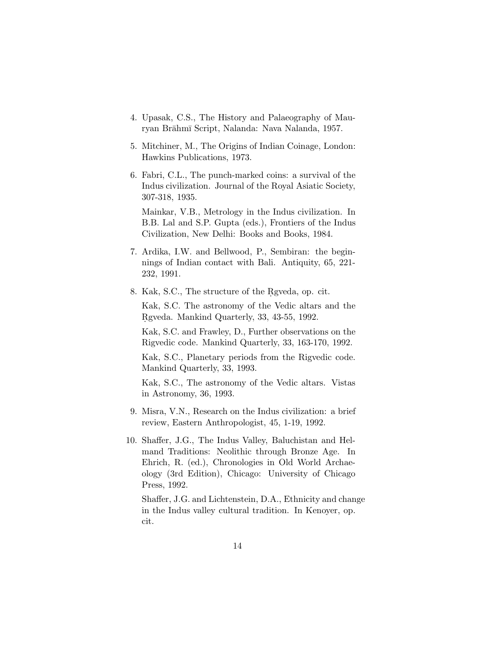- 4. Upasak, C.S., The History and Palaeography of Mauryan Brāhmī Script, Nalanda: Nava Nalanda, 1957.
- 5. Mitchiner, M., The Origins of Indian Coinage, London: Hawkins Publications, 1973.
- 6. Fabri, C.L., The punch-marked coins: a survival of the Indus civilization. Journal of the Royal Asiatic Society, 307-318, 1935.

Mainkar, V.B., Metrology in the Indus civilization. In B.B. Lal and S.P. Gupta (eds.), Frontiers of the Indus Civilization, New Delhi: Books and Books, 1984.

- 7. Ardika, I.W. and Bellwood, P., Sembiran: the beginnings of Indian contact with Bali. Antiquity, 65, 221- 232, 1991.
- 8. Kak, S.C., The structure of the Rgveda, op. cit.

Kak, S.C. The astronomy of the Vedic altars and the Rgveda. Mankind Quarterly, 33, 43-55, 1992.

Kak, S.C. and Frawley, D., Further observations on the Rigvedic code. Mankind Quarterly, 33, 163-170, 1992.

Kak, S.C., Planetary periods from the Rigvedic code. Mankind Quarterly, 33, 1993.

Kak, S.C., The astronomy of the Vedic altars. Vistas in Astronomy, 36, 1993.

- 9. Misra, V.N., Research on the Indus civilization: a brief review, Eastern Anthropologist, 45, 1-19, 1992.
- 10. Shaffer, J.G., The Indus Valley, Baluchistan and Helmand Traditions: Neolithic through Bronze Age. In Ehrich, R. (ed.), Chronologies in Old World Archaeology (3rd Edition), Chicago: University of Chicago Press, 1992.

Shaffer, J.G. and Lichtenstein, D.A., Ethnicity and change in the Indus valley cultural tradition. In Kenoyer, op. cit.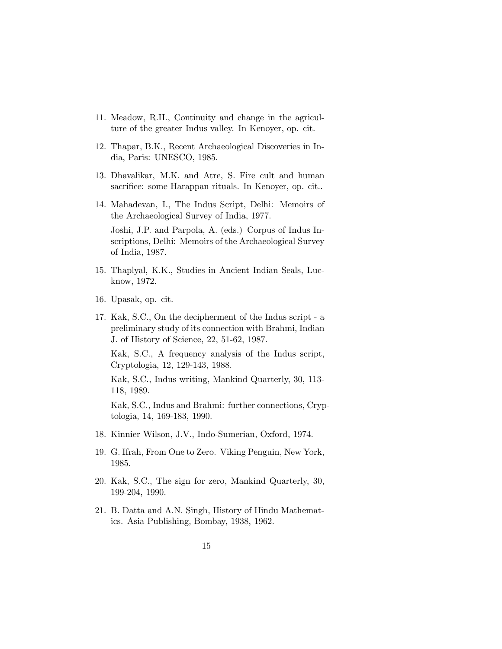- 11. Meadow, R.H., Continuity and change in the agriculture of the greater Indus valley. In Kenoyer, op. cit.
- 12. Thapar, B.K., Recent Archaeological Discoveries in India, Paris: UNESCO, 1985.
- 13. Dhavalikar, M.K. and Atre, S. Fire cult and human sacrifice: some Harappan rituals. In Kenoyer, op. cit..
- 14. Mahadevan, I., The Indus Script, Delhi: Memoirs of the Archaeological Survey of India, 1977.

Joshi, J.P. and Parpola, A. (eds.) Corpus of Indus Inscriptions, Delhi: Memoirs of the Archaeological Survey of India, 1987.

- 15. Thaplyal, K.K., Studies in Ancient Indian Seals, Lucknow, 1972.
- 16. Upasak, op. cit.
- 17. Kak, S.C., On the decipherment of the Indus script a preliminary study of its connection with Brahmi, Indian J. of History of Science, 22, 51-62, 1987.

Kak, S.C., A frequency analysis of the Indus script, Cryptologia, 12, 129-143, 1988.

Kak, S.C., Indus writing, Mankind Quarterly, 30, 113- 118, 1989.

Kak, S.C., Indus and Brahmi: further connections, Cryptologia, 14, 169-183, 1990.

- 18. Kinnier Wilson, J.V., Indo-Sumerian, Oxford, 1974.
- 19. G. Ifrah, From One to Zero. Viking Penguin, New York, 1985.
- 20. Kak, S.C., The sign for zero, Mankind Quarterly, 30, 199-204, 1990.
- 21. B. Datta and A.N. Singh, History of Hindu Mathematics. Asia Publishing, Bombay, 1938, 1962.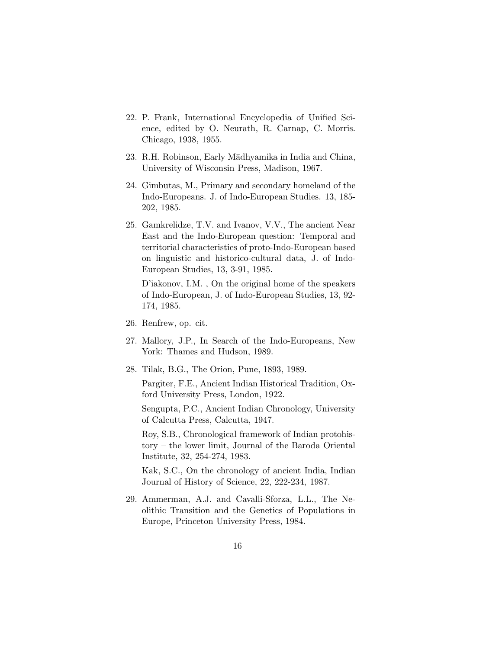- 22. P. Frank, International Encyclopedia of Unified Science, edited by O. Neurath, R. Carnap, C. Morris. Chicago, 1938, 1955.
- 23. R.H. Robinson, Early Mādhyamika in India and China, University of Wisconsin Press, Madison, 1967.
- 24. Gimbutas, M., Primary and secondary homeland of the Indo-Europeans. J. of Indo-European Studies. 13, 185- 202, 1985.
- 25. Gamkrelidze, T.V. and Ivanov, V.V., The ancient Near East and the Indo-European question: Temporal and territorial characteristics of proto-Indo-European based on linguistic and historico-cultural data, J. of Indo-European Studies, 13, 3-91, 1985.

D'iakonov, I.M. , On the original home of the speakers of Indo-European, J. of Indo-European Studies, 13, 92- 174, 1985.

- 26. Renfrew, op. cit.
- 27. Mallory, J.P., In Search of the Indo-Europeans, New York: Thames and Hudson, 1989.
- 28. Tilak, B.G., The Orion, Pune, 1893, 1989.

Pargiter, F.E., Ancient Indian Historical Tradition, Oxford University Press, London, 1922.

Sengupta, P.C., Ancient Indian Chronology, University of Calcutta Press, Calcutta, 1947.

Roy, S.B., Chronological framework of Indian protohistory – the lower limit, Journal of the Baroda Oriental Institute, 32, 254-274, 1983.

Kak, S.C., On the chronology of ancient India, Indian Journal of History of Science, 22, 222-234, 1987.

29. Ammerman, A.J. and Cavalli-Sforza, L.L., The Neolithic Transition and the Genetics of Populations in Europe, Princeton University Press, 1984.